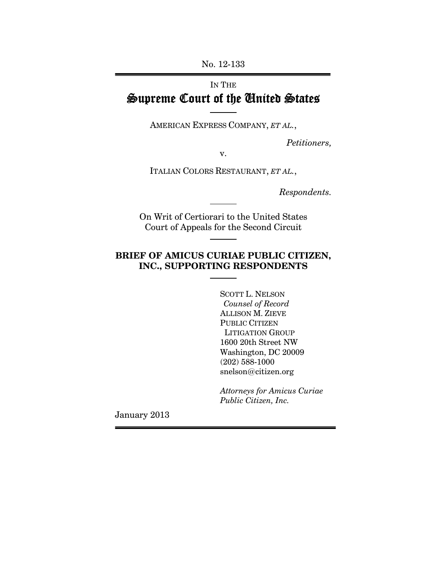No. 12-133

# IN THE Supreme Court of the United States

AMERICAN EXPRESS COMPANY, *ET AL.*,

*Petitioners,* 

v.

ITALIAN COLORS RESTAURANT, *ET AL.*,

*Respondents.* 

On Writ of Certiorari to the United States Court of Appeals for the Second Circuit

## **BRIEF OF AMICUS CURIAE PUBLIC CITIZEN, INC., SUPPORTING RESPONDENTS**

 SCOTT L. NELSON *Counsel of Record*  ALLISON M. ZIEVE PUBLIC CITIZEN LITIGATION GROUP 1600 20th Street NW Washington, DC 20009 (202) 588-1000 snelson@citizen.org

*Attorneys for Amicus Curiae Public Citizen, Inc.* 

January 2013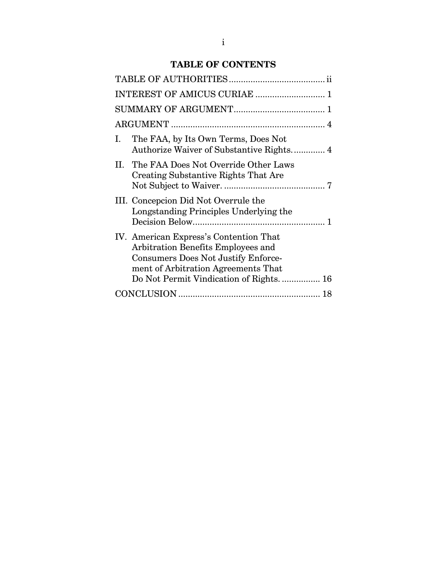## **TABLE OF CONTENTS**

| INTEREST OF AMICUS CURIAE  1                                                                                                                                                                           |  |  |  |  |  |
|--------------------------------------------------------------------------------------------------------------------------------------------------------------------------------------------------------|--|--|--|--|--|
|                                                                                                                                                                                                        |  |  |  |  |  |
|                                                                                                                                                                                                        |  |  |  |  |  |
| The FAA, by Its Own Terms, Does Not<br>L.<br>Authorize Waiver of Substantive Rights 4                                                                                                                  |  |  |  |  |  |
| II. The FAA Does Not Override Other Laws<br>Creating Substantive Rights That Are                                                                                                                       |  |  |  |  |  |
| III. Concepcion Did Not Overrule the<br>Longstanding Principles Underlying the                                                                                                                         |  |  |  |  |  |
| IV. American Express's Contention That<br>Arbitration Benefits Employees and<br>Consumers Does Not Justify Enforce-<br>ment of Arbitration Agreements That<br>Do Not Permit Vindication of Rights.  16 |  |  |  |  |  |
|                                                                                                                                                                                                        |  |  |  |  |  |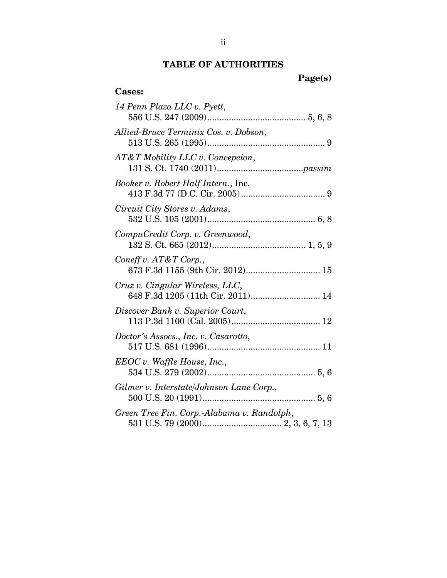## **TABLE OF AUTHORITIES**

**Cases:** 

**Page(s)** 

| 14 Penn Plaza LLC v. Pyett,                                          |
|----------------------------------------------------------------------|
| Allied-Bruce Terminix Cos. v. Dobson,                                |
| $AT\&T$ Mobility LLC v. Concepcion,                                  |
| <i>Booker v. Robert Half Intern., Inc.</i>                           |
| Circuit City Stores v. Adams,                                        |
| CompuCredit Corp. v. Greenwood,                                      |
| Coneff v. AT&T Corp.,<br>673 F.3d 1155 (9th Cir. 2012) 15            |
| Cruz v. Cingular Wireless, LLC,<br>648 F.3d 1205 (11th Cir. 2011) 14 |
| Discover Bank v. Superior Court,                                     |
| Doctor's Assocs., Inc. v. Casarotto,                                 |
| EEOC v. Waffle House, Inc.,                                          |
| Gilmer v. Interstate/Johnson Lane Corp.,                             |
| Green Tree Fin. Corp.-Alabama v. Randolph,                           |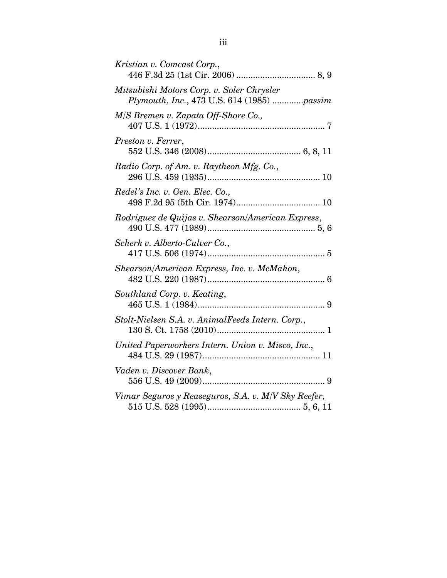| Kristian v. Comcast Corp.,                                                              |
|-----------------------------------------------------------------------------------------|
| Mitsubishi Motors Corp. v. Soler Chrysler<br>Plymouth, Inc., 473 U.S. 614 (1985) passim |
| M/S Bremen v. Zapata Off-Shore Co.,                                                     |
| Preston v. Ferrer,                                                                      |
| Radio Corp. of Am. v. Raytheon Mfg. Co.,                                                |
| Redel's Inc. v. Gen. Elec. Co.,                                                         |
| Rodriguez de Quijas v. Shearson/American Express,                                       |
| Scherk v. Alberto-Culver Co.,                                                           |
| Shearson/American Express, Inc. v. McMahon,                                             |
| Southland Corp. v. Keating,                                                             |
| Stolt-Nielsen S.A. v. AnimalFeeds Intern. Corp.,                                        |
| United Paperworkers Intern. Union v. Misco, Inc.,                                       |
| Vaden v. Discover Bank,                                                                 |
| Vimar Seguros y Reaseguros, S.A. v. M/V Sky Reefer,                                     |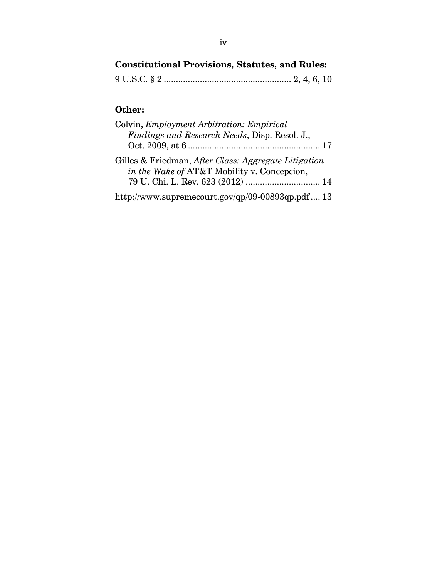# **Constitutional Provisions, Statutes, and Rules:**

|--|--|--|--|--|--|--|--|--|

# **Other:**

| Colvin, Employment Arbitration: Empirical                                                           |
|-----------------------------------------------------------------------------------------------------|
| Findings and Research Needs, Disp. Resol. J.,                                                       |
|                                                                                                     |
| Gilles & Friedman, After Class: Aggregate Litigation<br>in the Wake of AT&T Mobility v. Concepcion, |
| 79 U. Chi. L. Rev. 623 (2012)  14                                                                   |
| http://www.supremecourt.gov/qp/09-00893qp.pdf 13                                                    |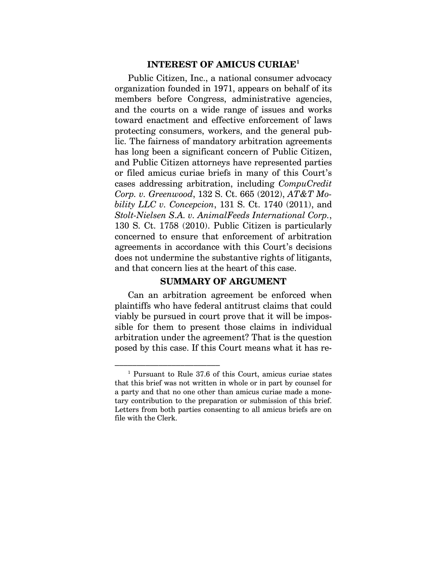#### **INTEREST OF AMICUS CURIAE1**

Public Citizen, Inc., a national consumer advocacy organization founded in 1971, appears on behalf of its members before Congress, administrative agencies, and the courts on a wide range of issues and works toward enactment and effective enforcement of laws protecting consumers, workers, and the general public. The fairness of mandatory arbitration agreements has long been a significant concern of Public Citizen, and Public Citizen attorneys have represented parties or filed amicus curiae briefs in many of this Court's cases addressing arbitration, including *CompuCredit Corp. v. Greenwood*, 132 S. Ct. 665 (2012), *AT&T Mobility LLC v. Concepcion*, 131 S. Ct. 1740 (2011), and *Stolt-Nielsen S.A. v. AnimalFeeds International Corp.*, 130 S. Ct. 1758 (2010). Public Citizen is particularly concerned to ensure that enforcement of arbitration agreements in accordance with this Court's decisions does not undermine the substantive rights of litigants, and that concern lies at the heart of this case.

#### **SUMMARY OF ARGUMENT**

Can an arbitration agreement be enforced when plaintiffs who have federal antitrust claims that could viably be pursued in court prove that it will be impossible for them to present those claims in individual arbitration under the agreement? That is the question posed by this case. If this Court means what it has re-

<sup>–––––––––––––––––––––––– 1</sup> Pursuant to Rule 37.6 of this Court, amicus curiae states that this brief was not written in whole or in part by counsel for a party and that no one other than amicus curiae made a monetary contribution to the preparation or submission of this brief. Letters from both parties consenting to all amicus briefs are on file with the Clerk.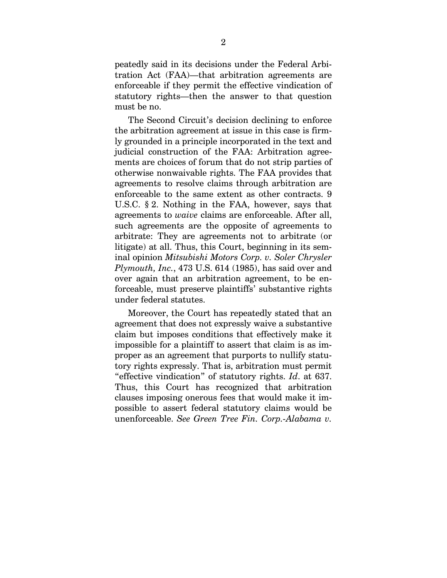peatedly said in its decisions under the Federal Arbitration Act (FAA)—that arbitration agreements are enforceable if they permit the effective vindication of statutory rights—then the answer to that question must be no.

The Second Circuit's decision declining to enforce the arbitration agreement at issue in this case is firmly grounded in a principle incorporated in the text and judicial construction of the FAA: Arbitration agreements are choices of forum that do not strip parties of otherwise nonwaivable rights. The FAA provides that agreements to resolve claims through arbitration are enforceable to the same extent as other contracts. 9 U.S.C. § 2. Nothing in the FAA, however, says that agreements to *waive* claims are enforceable. After all, such agreements are the opposite of agreements to arbitrate: They are agreements not to arbitrate (or litigate) at all. Thus, this Court, beginning in its seminal opinion *Mitsubishi Motors Corp. v. Soler Chrysler Plymouth, Inc.*, 473 U.S. 614 (1985), has said over and over again that an arbitration agreement, to be enforceable, must preserve plaintiffs' substantive rights under federal statutes.

Moreover, the Court has repeatedly stated that an agreement that does not expressly waive a substantive claim but imposes conditions that effectively make it impossible for a plaintiff to assert that claim is as improper as an agreement that purports to nullify statutory rights expressly. That is, arbitration must permit "effective vindication" of statutory rights. *Id*. at 637. Thus, this Court has recognized that arbitration clauses imposing onerous fees that would make it impossible to assert federal statutory claims would be unenforceable. *See Green Tree Fin. Corp.-Alabama v.*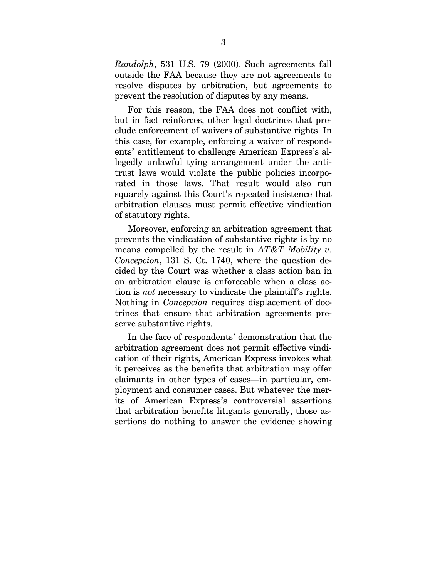*Randolph*, 531 U.S. 79 (2000). Such agreements fall outside the FAA because they are not agreements to resolve disputes by arbitration, but agreements to prevent the resolution of disputes by any means.

For this reason, the FAA does not conflict with, but in fact reinforces, other legal doctrines that preclude enforcement of waivers of substantive rights. In this case, for example, enforcing a waiver of respondents' entitlement to challenge American Express's allegedly unlawful tying arrangement under the antitrust laws would violate the public policies incorporated in those laws. That result would also run squarely against this Court's repeated insistence that arbitration clauses must permit effective vindication of statutory rights.

Moreover, enforcing an arbitration agreement that prevents the vindication of substantive rights is by no means compelled by the result in *AT&T Mobility v. Concepcion*, 131 S. Ct. 1740, where the question decided by the Court was whether a class action ban in an arbitration clause is enforceable when a class action is *not* necessary to vindicate the plaintiff's rights. Nothing in *Concepcion* requires displacement of doctrines that ensure that arbitration agreements preserve substantive rights.

In the face of respondents' demonstration that the arbitration agreement does not permit effective vindication of their rights, American Express invokes what it perceives as the benefits that arbitration may offer claimants in other types of cases—in particular, employment and consumer cases. But whatever the merits of American Express's controversial assertions that arbitration benefits litigants generally, those assertions do nothing to answer the evidence showing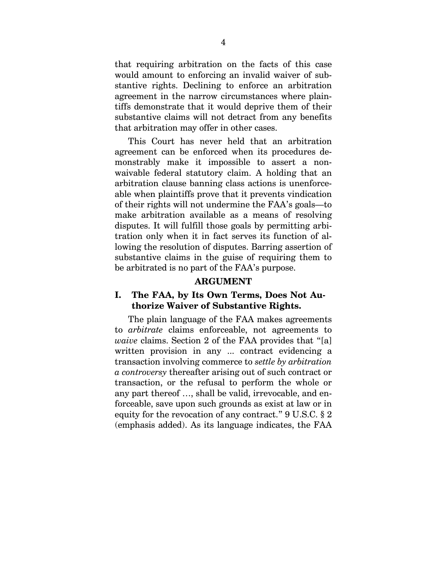that requiring arbitration on the facts of this case would amount to enforcing an invalid waiver of substantive rights. Declining to enforce an arbitration agreement in the narrow circumstances where plaintiffs demonstrate that it would deprive them of their substantive claims will not detract from any benefits that arbitration may offer in other cases.

This Court has never held that an arbitration agreement can be enforced when its procedures demonstrably make it impossible to assert a nonwaivable federal statutory claim. A holding that an arbitration clause banning class actions is unenforceable when plaintiffs prove that it prevents vindication of their rights will not undermine the FAA's goals—to make arbitration available as a means of resolving disputes. It will fulfill those goals by permitting arbitration only when it in fact serves its function of allowing the resolution of disputes. Barring assertion of substantive claims in the guise of requiring them to be arbitrated is no part of the FAA's purpose.

#### **ARGUMENT**

#### **I. The FAA, by Its Own Terms, Does Not Authorize Waiver of Substantive Rights.**

The plain language of the FAA makes agreements to *arbitrate* claims enforceable, not agreements to *waive* claims. Section 2 of the FAA provides that "[a] written provision in any ... contract evidencing a transaction involving commerce to *settle by arbitration a controversy* thereafter arising out of such contract or transaction, or the refusal to perform the whole or any part thereof …, shall be valid, irrevocable, and enforceable, save upon such grounds as exist at law or in equity for the revocation of any contract." 9 U.S.C. § 2 (emphasis added). As its language indicates, the FAA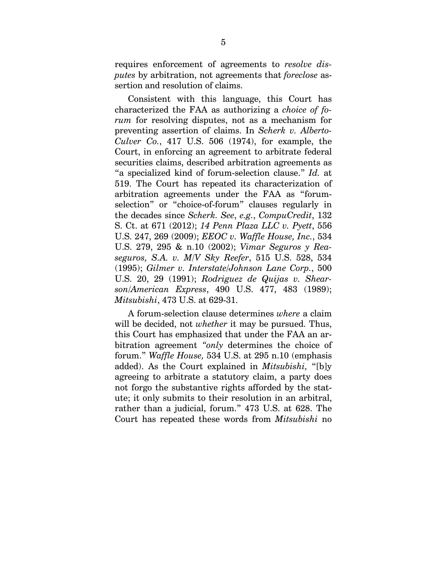requires enforcement of agreements to *resolve disputes* by arbitration, not agreements that *foreclose* assertion and resolution of claims.

Consistent with this language, this Court has characterized the FAA as authorizing a *choice of forum* for resolving disputes, not as a mechanism for preventing assertion of claims. In *Scherk v. Alberto-Culver Co.*, 417 U.S. 506 (1974), for example, the Court, in enforcing an agreement to arbitrate federal securities claims, described arbitration agreements as "a specialized kind of forum-selection clause." *Id.* at 519. The Court has repeated its characterization of arbitration agreements under the FAA as "forumselection" or "choice-of-forum" clauses regularly in the decades since *Scherk. See*, *e.g.*, *CompuCredit*, 132 S. Ct. at 671 (2012); *14 Penn Plaza LLC v. Pyett*, 556 U.S. 247, 269 (2009); *EEOC v. Waffle House, Inc.*, 534 U.S. 279, 295 & n.10 (2002); *Vimar Seguros y Reaseguros, S.A. v. M/V Sky Reefer*, 515 U.S. 528, 534 (1995); *Gilmer v. Interstate/Johnson Lane Corp.*, 500 U.S. 20, 29 (1991); *Rodriguez de Quijas v. Shearson/American Express*, 490 U.S. 477, 483 (1989); *Mitsubishi*, 473 U.S. at 629-31.

A forum-selection clause determines *where* a claim will be decided, not *whether* it may be pursued. Thus, this Court has emphasized that under the FAA an arbitration agreement *"only* determines the choice of forum." *Waffle House,* 534 U.S. at 295 n.10 (emphasis added). As the Court explained in *Mitsubishi,* "[b]y agreeing to arbitrate a statutory claim, a party does not forgo the substantive rights afforded by the statute; it only submits to their resolution in an arbitral, rather than a judicial, forum." 473 U.S. at 628. The Court has repeated these words from *Mitsubishi* no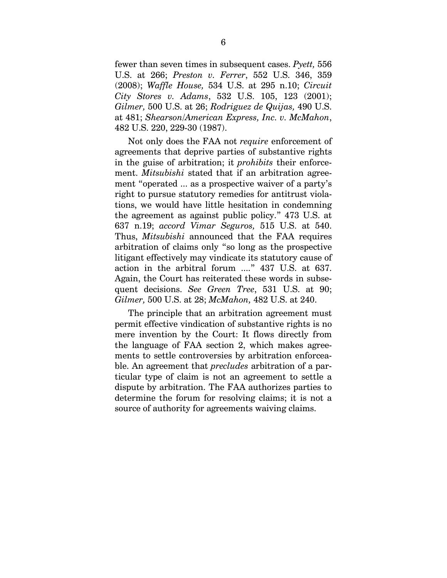fewer than seven times in subsequent cases. *Pyett,* 556 U.S. at 266; *Preston v. Ferrer*, 552 U.S. 346, 359 (2008); *Waffle House,* 534 U.S. at 295 n.10; *Circuit City Stores v. Adams*, 532 U.S. 105, 123 (2001); *Gilmer,* 500 U.S. at 26; *Rodriguez de Quijas,* 490 U.S. at 481; *Shearson/American Express, Inc. v. McMahon*, 482 U.S. 220, 229-30 (1987).

Not only does the FAA not *require* enforcement of agreements that deprive parties of substantive rights in the guise of arbitration; it *prohibits* their enforcement. *Mitsubishi* stated that if an arbitration agreement "operated ... as a prospective waiver of a party's right to pursue statutory remedies for antitrust violations, we would have little hesitation in condemning the agreement as against public policy." 473 U.S. at 637 n.19; *accord Vimar Seguros,* 515 U.S. at 540. Thus, *Mitsubishi* announced that the FAA requires arbitration of claims only "so long as the prospective litigant effectively may vindicate its statutory cause of action in the arbitral forum ...." 437 U.S. at 637. Again, the Court has reiterated these words in subsequent decisions. *See Green Tree*, 531 U.S. at 90; *Gilmer,* 500 U.S. at 28; *McMahon,* 482 U.S. at 240.

The principle that an arbitration agreement must permit effective vindication of substantive rights is no mere invention by the Court: It flows directly from the language of FAA section 2, which makes agreements to settle controversies by arbitration enforceable. An agreement that *precludes* arbitration of a particular type of claim is not an agreement to settle a dispute by arbitration. The FAA authorizes parties to determine the forum for resolving claims; it is not a source of authority for agreements waiving claims.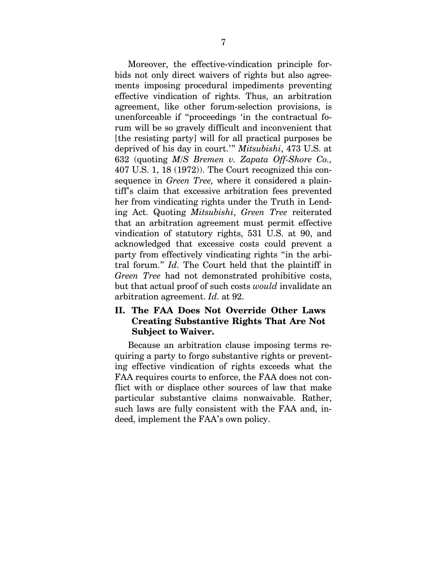Moreover, the effective-vindication principle forbids not only direct waivers of rights but also agreements imposing procedural impediments preventing effective vindication of rights. Thus, an arbitration agreement, like other forum-selection provisions, is unenforceable if "proceedings 'in the contractual forum will be so gravely difficult and inconvenient that [the resisting party] will for all practical purposes be deprived of his day in court.'" *Mitsubishi*, 473 U.S. at 632 (quoting *M/S Bremen v. Zapata Off-Shore Co.,* 407 U.S. 1, 18 (1972)). The Court recognized this consequence in *Green Tree,* where it considered a plaintiff's claim that excessive arbitration fees prevented her from vindicating rights under the Truth in Lending Act. Quoting *Mitsubishi*, *Green Tree* reiterated that an arbitration agreement must permit effective vindication of statutory rights, 531 U.S. at 90, and acknowledged that excessive costs could prevent a party from effectively vindicating rights "in the arbitral forum." *Id.* The Court held that the plaintiff in *Green Tree* had not demonstrated prohibitive costs, but that actual proof of such costs *would* invalidate an arbitration agreement. *Id.* at 92.

### **II. The FAA Does Not Override Other Laws Creating Substantive Rights That Are Not Subject to Waiver.**

Because an arbitration clause imposing terms requiring a party to forgo substantive rights or preventing effective vindication of rights exceeds what the FAA requires courts to enforce, the FAA does not conflict with or displace other sources of law that make particular substantive claims nonwaivable. Rather, such laws are fully consistent with the FAA and, indeed, implement the FAA's own policy.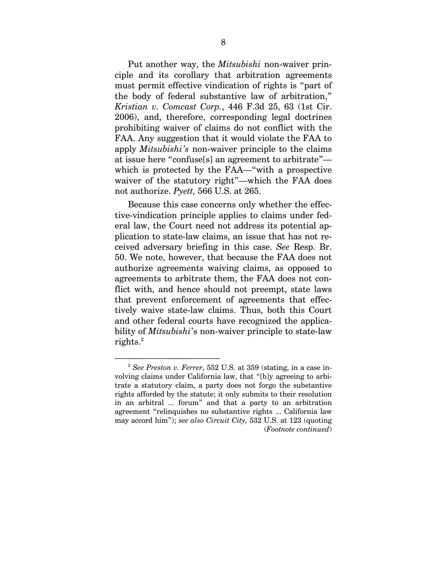Put another way, the *Mitsubishi* non-waiver principle and its corollary that arbitration agreements must permit effective vindication of rights is "part of the body of federal substantive law of arbitration," *Kristian v. Comcast Corp.*, 446 F.3d 25, 63 (1st Cir. 2006), and, therefore, corresponding legal doctrines prohibiting waiver of claims do not conflict with the FAA. Any suggestion that it would violate the FAA to apply *Mitsubishi's* non-waiver principle to the claims at issue here "confuse[s] an agreement to arbitrate" which is protected by the FAA—"with a prospective waiver of the statutory right"—which the FAA does not authorize. *Pyett,* 566 U.S. at 265.

Because this case concerns only whether the effective-vindication principle applies to claims under federal law, the Court need not address its potential application to state-law claims, an issue that has not received adversary briefing in this case. *See* Resp. Br. 50. We note, however, that because the FAA does not authorize agreements waiving claims, as opposed to agreements to arbitrate them, the FAA does not conflict with, and hence should not preempt, state laws that prevent enforcement of agreements that effectively waive state-law claims. Thus, both this Court and other federal courts have recognized the applicability of *Mitsubishi*'s non-waiver principle to state-law  ${\rm right} {\rm s}.^2$ 

 $^2$  See Preston v. Ferrer, 552 U.S. at 359 (stating, in a case involving claims under California law, that "[b]y agreeing to arbitrate a statutory claim, a party does not forgo the substantive rights afforded by the statute; it only submits to their resolution in an arbitral ... forum" and that a party to an arbitration agreement "relinquishes no substantive rights ... California law may accord him"); *see also Circuit City,* 532 U.S. at 123 (quoting (*Footnote continued*)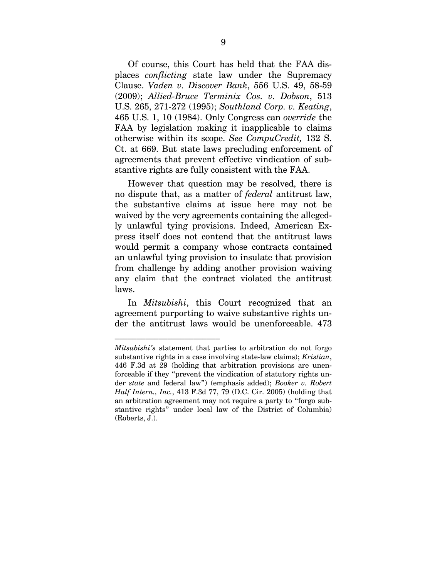Of course, this Court has held that the FAA displaces *conflicting* state law under the Supremacy Clause. *Vaden v. Discover Bank*, 556 U.S. 49, 58-59 (2009); *Allied-Bruce Terminix Cos. v. Dobson*, 513 U.S. 265, 271-272 (1995); *Southland Corp. v. Keating*, 465 U.S. 1, 10 (1984). Only Congress can *override* the FAA by legislation making it inapplicable to claims otherwise within its scope. *See CompuCredit,* 132 S. Ct. at 669. But state laws precluding enforcement of agreements that prevent effective vindication of substantive rights are fully consistent with the FAA.

However that question may be resolved, there is no dispute that, as a matter of *federal* antitrust law, the substantive claims at issue here may not be waived by the very agreements containing the allegedly unlawful tying provisions. Indeed, American Express itself does not contend that the antitrust laws would permit a company whose contracts contained an unlawful tying provision to insulate that provision from challenge by adding another provision waiving any claim that the contract violated the antitrust laws.

In *Mitsubishi*, this Court recognized that an agreement purporting to waive substantive rights under the antitrust laws would be unenforceable. 473

––––––––––––––––––––––––

*Mitsubishi's* statement that parties to arbitration do not forgo substantive rights in a case involving state-law claims); *Kristian*, 446 F.3d at 29 (holding that arbitration provisions are unenforceable if they "prevent the vindication of statutory rights under *state* and federal law") (emphasis added); *Booker v. Robert Half Intern., Inc.*, 413 F.3d 77, 79 (D.C. Cir. 2005) (holding that an arbitration agreement may not require a party to "forgo substantive rights" under local law of the District of Columbia) (Roberts, J.).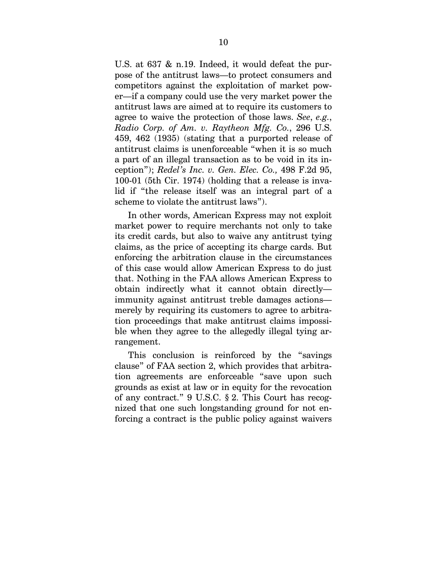U.S. at 637 & n.19. Indeed, it would defeat the purpose of the antitrust laws—to protect consumers and competitors against the exploitation of market power—if a company could use the very market power the antitrust laws are aimed at to require its customers to agree to waive the protection of those laws. *See*, *e.g.*, *Radio Corp. of Am. v. Raytheon Mfg. Co.*, 296 U.S. 459, 462 (1935) (stating that a purported release of antitrust claims is unenforceable "when it is so much a part of an illegal transaction as to be void in its inception"); *Redel's Inc. v. Gen. Elec. Co.,* 498 F.2d 95, 100-01 (5th Cir. 1974) (holding that a release is invalid if "the release itself was an integral part of a scheme to violate the antitrust laws").

In other words, American Express may not exploit market power to require merchants not only to take its credit cards, but also to waive any antitrust tying claims, as the price of accepting its charge cards. But enforcing the arbitration clause in the circumstances of this case would allow American Express to do just that. Nothing in the FAA allows American Express to obtain indirectly what it cannot obtain directly immunity against antitrust treble damages actions merely by requiring its customers to agree to arbitration proceedings that make antitrust claims impossible when they agree to the allegedly illegal tying arrangement.

This conclusion is reinforced by the "savings clause" of FAA section 2, which provides that arbitration agreements are enforceable "save upon such grounds as exist at law or in equity for the revocation of any contract." 9 U.S.C. § 2. This Court has recognized that one such longstanding ground for not enforcing a contract is the public policy against waivers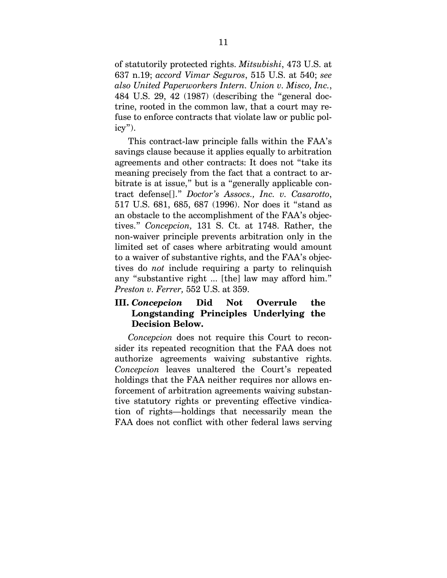of statutorily protected rights. *Mitsubishi*, 473 U.S. at 637 n.19; *accord Vimar Seguros*, 515 U.S. at 540; *see also United Paperworkers Intern. Union v. Misco, Inc.*, 484 U.S. 29, 42 (1987) (describing the "general doctrine, rooted in the common law, that a court may refuse to enforce contracts that violate law or public policy").

This contract-law principle falls within the FAA's savings clause because it applies equally to arbitration agreements and other contracts: It does not "take its meaning precisely from the fact that a contract to arbitrate is at issue," but is a "generally applicable contract defense[]." *Doctor's Assocs., Inc. v. Casarotto*, 517 U.S. 681, 685, 687 (1996). Nor does it "stand as an obstacle to the accomplishment of the FAA's objectives." *Concepcion,* 131 S. Ct. at 1748. Rather, the non-waiver principle prevents arbitration only in the limited set of cases where arbitrating would amount to a waiver of substantive rights, and the FAA's objectives do *not* include requiring a party to relinquish any "substantive right ... [the] law may afford him." *Preston v. Ferrer,* 552 U.S. at 359.

## **III.** *Concepcion* **Did Not Overrule the Longstanding Principles Underlying the Decision Below.**

*Concepcion* does not require this Court to reconsider its repeated recognition that the FAA does not authorize agreements waiving substantive rights. *Concepcion* leaves unaltered the Court's repeated holdings that the FAA neither requires nor allows enforcement of arbitration agreements waiving substantive statutory rights or preventing effective vindication of rights—holdings that necessarily mean the FAA does not conflict with other federal laws serving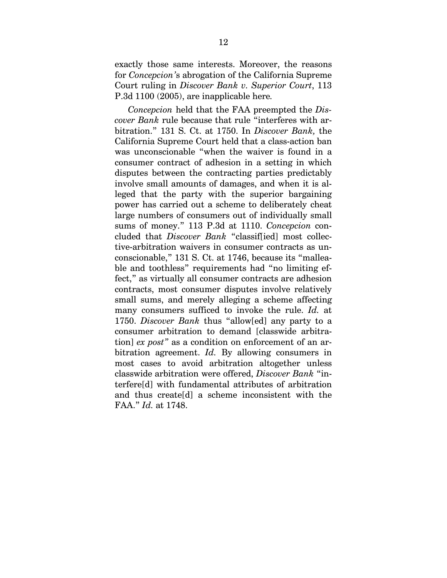exactly those same interests. Moreover, the reasons for *Concepcion'*s abrogation of the California Supreme Court ruling in *Discover Bank v. Superior Court*, 113 P.3d 1100 (2005), are inapplicable here*.* 

*Concepcion* held that the FAA preempted the *Discover Bank* rule because that rule "interferes with arbitration." 131 S. Ct. at 1750. In *Discover Bank,* the California Supreme Court held that a class-action ban was unconscionable "when the waiver is found in a consumer contract of adhesion in a setting in which disputes between the contracting parties predictably involve small amounts of damages, and when it is alleged that the party with the superior bargaining power has carried out a scheme to deliberately cheat large numbers of consumers out of individually small sums of money." 113 P.3d at 1110. *Concepcion* concluded that *Discover Bank* "classif[ied] most collective-arbitration waivers in consumer contracts as unconscionable," 131 S. Ct. at 1746, because its "malleable and toothless" requirements had "no limiting effect," as virtually all consumer contracts are adhesion contracts, most consumer disputes involve relatively small sums, and merely alleging a scheme affecting many consumers sufficed to invoke the rule. *Id.* at 1750. *Discover Bank* thus "allow[ed] any party to a consumer arbitration to demand [classwide arbitration] *ex post"* as a condition on enforcement of an arbitration agreement. *Id.* By allowing consumers in most cases to avoid arbitration altogether unless classwide arbitration were offered, *Discover Bank* "interfere[d] with fundamental attributes of arbitration and thus create[d] a scheme inconsistent with the FAA." *Id.* at 1748.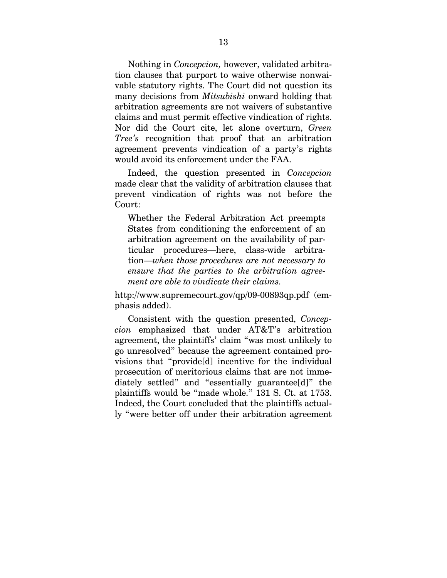Nothing in *Concepcion,* however, validated arbitration clauses that purport to waive otherwise nonwaivable statutory rights. The Court did not question its many decisions from *Mitsubishi* onward holding that arbitration agreements are not waivers of substantive claims and must permit effective vindication of rights. Nor did the Court cite, let alone overturn, *Green Tree's* recognition that proof that an arbitration agreement prevents vindication of a party's rights would avoid its enforcement under the FAA.

Indeed, the question presented in *Concepcion*  made clear that the validity of arbitration clauses that prevent vindication of rights was not before the Court:

Whether the Federal Arbitration Act preempts States from conditioning the enforcement of an arbitration agreement on the availability of particular procedures—here, class-wide arbitration—*when those procedures are not necessary to ensure that the parties to the arbitration agreement are able to vindicate their claims.* 

http://www.supremecourt.gov/qp/09-00893qp.pdf (emphasis added).

Consistent with the question presented, *Concepcion* emphasized that under AT&T's arbitration agreement, the plaintiffs' claim "was most unlikely to go unresolved" because the agreement contained provisions that "provide[d] incentive for the individual prosecution of meritorious claims that are not immediately settled" and "essentially guarantee[d]" the plaintiffs would be "made whole." 131 S. Ct. at 1753. Indeed, the Court concluded that the plaintiffs actually "were better off under their arbitration agreement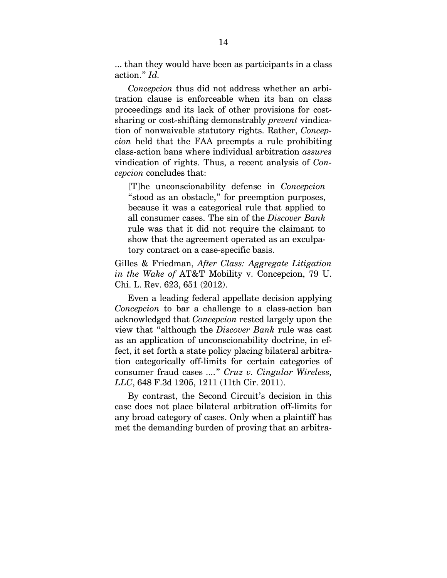... than they would have been as participants in a class action." *Id.*

*Concepcion* thus did not address whether an arbitration clause is enforceable when its ban on class proceedings and its lack of other provisions for costsharing or cost-shifting demonstrably *prevent* vindication of nonwaivable statutory rights. Rather, *Concepcion* held that the FAA preempts a rule prohibiting class-action bans where individual arbitration *assures*  vindication of rights. Thus, a recent analysis of *Concepcion* concludes that:

[T]he unconscionability defense in *Concepcion*  "stood as an obstacle," for preemption purposes, because it was a categorical rule that applied to all consumer cases. The sin of the *Discover Bank*  rule was that it did not require the claimant to show that the agreement operated as an exculpatory contract on a case-specific basis.

Gilles & Friedman, *After Class: Aggregate Litigation in the Wake of* AT&T Mobility v. Concepcion, 79 U. Chi. L. Rev. 623, 651 (2012).

Even a leading federal appellate decision applying *Concepcion* to bar a challenge to a class-action ban acknowledged that *Concepcion* rested largely upon the view that "although the *Discover Bank* rule was cast as an application of unconscionability doctrine, in effect, it set forth a state policy placing bilateral arbitration categorically off-limits for certain categories of consumer fraud cases *....*" *Cruz v. Cingular Wireless, LLC*, 648 F.3d 1205, 1211 (11th Cir. 2011).

By contrast, the Second Circuit's decision in this case does not place bilateral arbitration off-limits for any broad category of cases. Only when a plaintiff has met the demanding burden of proving that an arbitra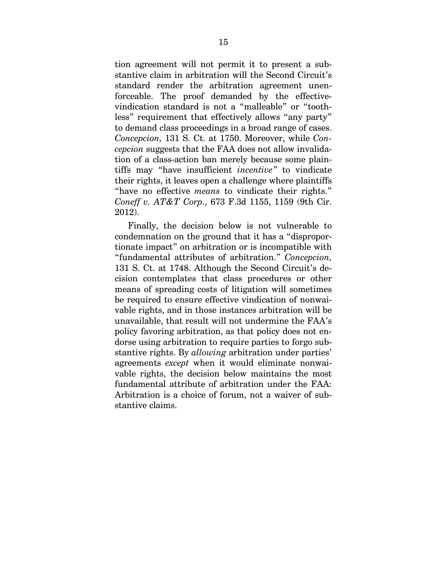tion agreement will not permit it to present a substantive claim in arbitration will the Second Circuit's standard render the arbitration agreement unenforceable. The proof demanded by the effectivevindication standard is not a "malleable" or "toothless" requirement that effectively allows "any party" to demand class proceedings in a broad range of cases. *Concepcion,* 131 S. Ct. at 1750. Moreover, while *Concepcion* suggests that the FAA does not allow invalidation of a class-action ban merely because some plaintiffs may "have insufficient *incentive"* to vindicate their rights, it leaves open a challenge where plaintiffs "have no effective *means* to vindicate their rights." *Coneff v. AT&T Corp.*, 673 F.3d 1155, 1159 (9th Cir. 2012).

Finally, the decision below is not vulnerable to condemnation on the ground that it has a "disproportionate impact" on arbitration or is incompatible with "fundamental attributes of arbitration." *Concepcion,*  131 S. Ct. at 1748. Although the Second Circuit's decision contemplates that class procedures or other means of spreading costs of litigation will sometimes be required to ensure effective vindication of nonwaivable rights, and in those instances arbitration will be unavailable, that result will not undermine the FAA's policy favoring arbitration, as that policy does not endorse using arbitration to require parties to forgo substantive rights. By *allowing* arbitration under parties' agreements *except* when it would eliminate nonwaivable rights, the decision below maintains the most fundamental attribute of arbitration under the FAA: Arbitration is a choice of forum, not a waiver of substantive claims.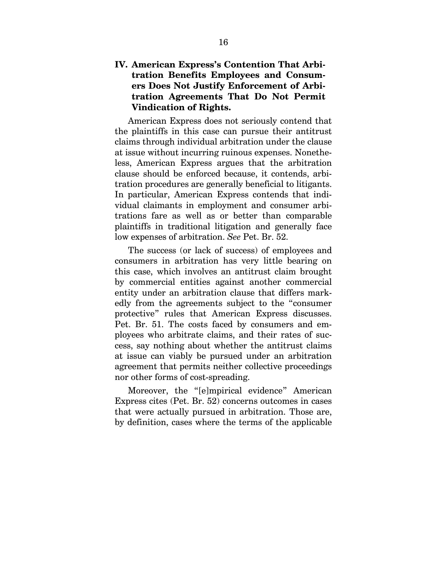### **IV. American Express's Contention That Arbitration Benefits Employees and Consumers Does Not Justify Enforcement of Arbitration Agreements That Do Not Permit Vindication of Rights.**

American Express does not seriously contend that the plaintiffs in this case can pursue their antitrust claims through individual arbitration under the clause at issue without incurring ruinous expenses. Nonetheless, American Express argues that the arbitration clause should be enforced because, it contends, arbitration procedures are generally beneficial to litigants. In particular, American Express contends that individual claimants in employment and consumer arbitrations fare as well as or better than comparable plaintiffs in traditional litigation and generally face low expenses of arbitration. *See* Pet. Br. 52.

The success (or lack of success) of employees and consumers in arbitration has very little bearing on this case, which involves an antitrust claim brought by commercial entities against another commercial entity under an arbitration clause that differs markedly from the agreements subject to the "consumer protective" rules that American Express discusses. Pet. Br. 51. The costs faced by consumers and employees who arbitrate claims, and their rates of success, say nothing about whether the antitrust claims at issue can viably be pursued under an arbitration agreement that permits neither collective proceedings nor other forms of cost-spreading.

Moreover, the "[e]mpirical evidence" American Express cites (Pet. Br. 52) concerns outcomes in cases that were actually pursued in arbitration. Those are, by definition, cases where the terms of the applicable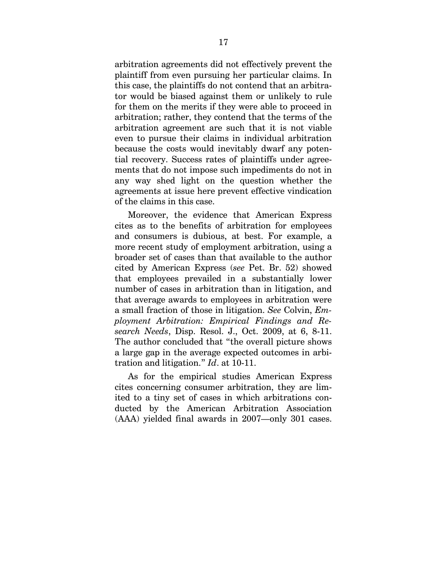arbitration agreements did not effectively prevent the plaintiff from even pursuing her particular claims. In this case, the plaintiffs do not contend that an arbitrator would be biased against them or unlikely to rule for them on the merits if they were able to proceed in arbitration; rather, they contend that the terms of the arbitration agreement are such that it is not viable even to pursue their claims in individual arbitration because the costs would inevitably dwarf any potential recovery. Success rates of plaintiffs under agreements that do not impose such impediments do not in any way shed light on the question whether the agreements at issue here prevent effective vindication of the claims in this case.

Moreover, the evidence that American Express cites as to the benefits of arbitration for employees and consumers is dubious, at best. For example, a more recent study of employment arbitration, using a broader set of cases than that available to the author cited by American Express (*see* Pet. Br. 52) showed that employees prevailed in a substantially lower number of cases in arbitration than in litigation, and that average awards to employees in arbitration were a small fraction of those in litigation. *See* Colvin, *Employment Arbitration: Empirical Findings and Research Needs*, Disp. Resol. J., Oct. 2009, at 6, 8-11. The author concluded that "the overall picture shows a large gap in the average expected outcomes in arbitration and litigation." *Id*. at 10-11.

As for the empirical studies American Express cites concerning consumer arbitration, they are limited to a tiny set of cases in which arbitrations conducted by the American Arbitration Association (AAA) yielded final awards in 2007—only 301 cases.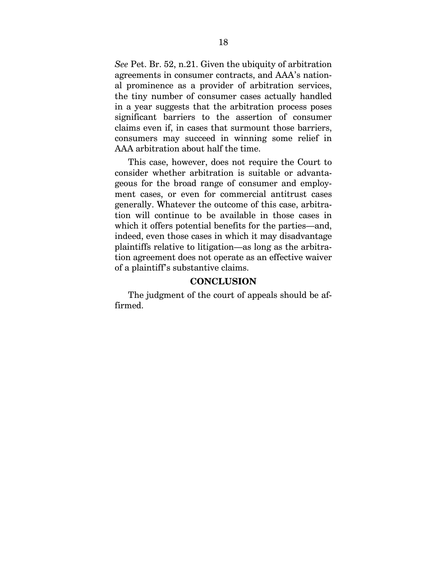*See* Pet. Br. 52, n.21. Given the ubiquity of arbitration agreements in consumer contracts, and AAA's national prominence as a provider of arbitration services, the tiny number of consumer cases actually handled in a year suggests that the arbitration process poses significant barriers to the assertion of consumer claims even if, in cases that surmount those barriers, consumers may succeed in winning some relief in AAA arbitration about half the time.

This case, however, does not require the Court to consider whether arbitration is suitable or advantageous for the broad range of consumer and employment cases, or even for commercial antitrust cases generally. Whatever the outcome of this case, arbitration will continue to be available in those cases in which it offers potential benefits for the parties—and, indeed, even those cases in which it may disadvantage plaintiffs relative to litigation—as long as the arbitration agreement does not operate as an effective waiver of a plaintiff's substantive claims.

#### **CONCLUSION**

The judgment of the court of appeals should be affirmed.